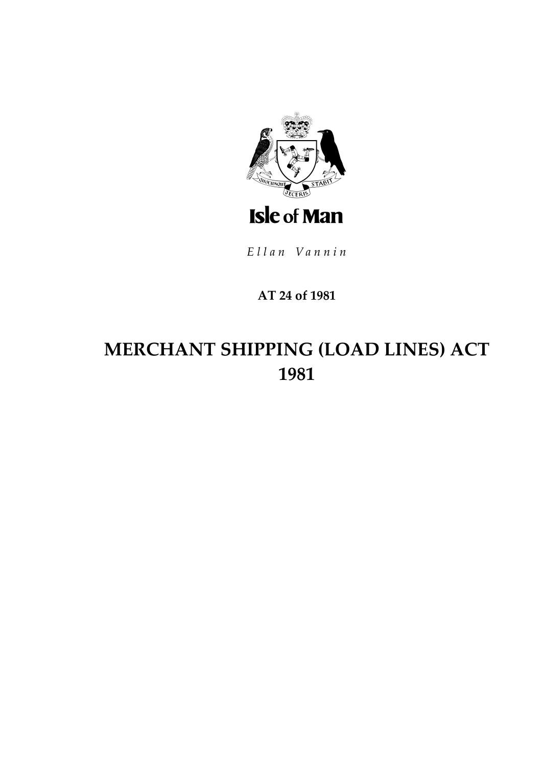

Ellan Vannin

### AT 24 of 1981

# MERCHANT SHIPPING (LOAD LINES) ACT 1981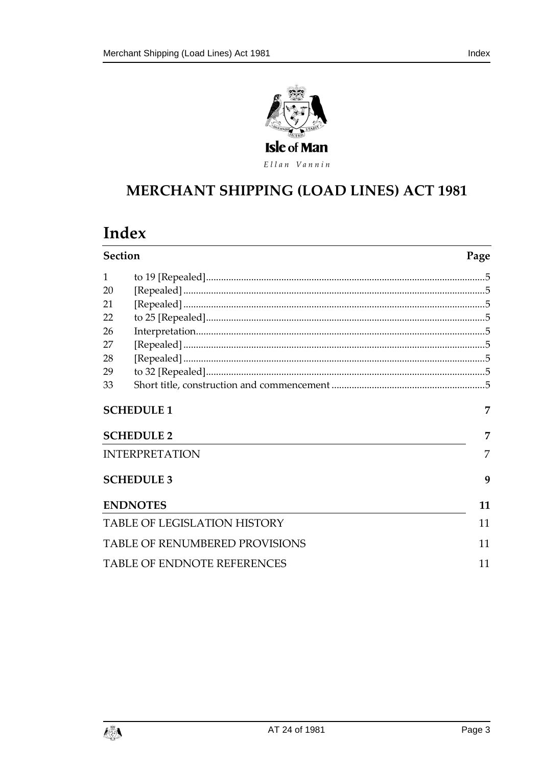



Ellan Vannin

# **MERCHANT SHIPPING (LOAD LINES) ACT 1981**

## Index

| <b>Section</b>                            |                       | Page |
|-------------------------------------------|-----------------------|------|
| 1                                         |                       |      |
| 20                                        |                       |      |
| 21                                        |                       |      |
| 22                                        |                       |      |
| 26                                        |                       |      |
| 27                                        |                       |      |
| 28                                        |                       |      |
| 29                                        |                       |      |
| 33                                        |                       |      |
|                                           | <b>SCHEDULE 1</b>     | 7    |
|                                           | <b>SCHEDULE 2</b>     | 7    |
|                                           | <b>INTERPRETATION</b> | 7    |
|                                           | <b>SCHEDULE 3</b>     | 9    |
|                                           | <b>ENDNOTES</b>       | 11   |
| <b>TABLE OF LEGISLATION HISTORY</b><br>11 |                       |      |
| <b>TABLE OF RENUMBERED PROVISIONS</b>     |                       |      |
| <b>TABLE OF ENDNOTE REFERENCES</b>        |                       |      |

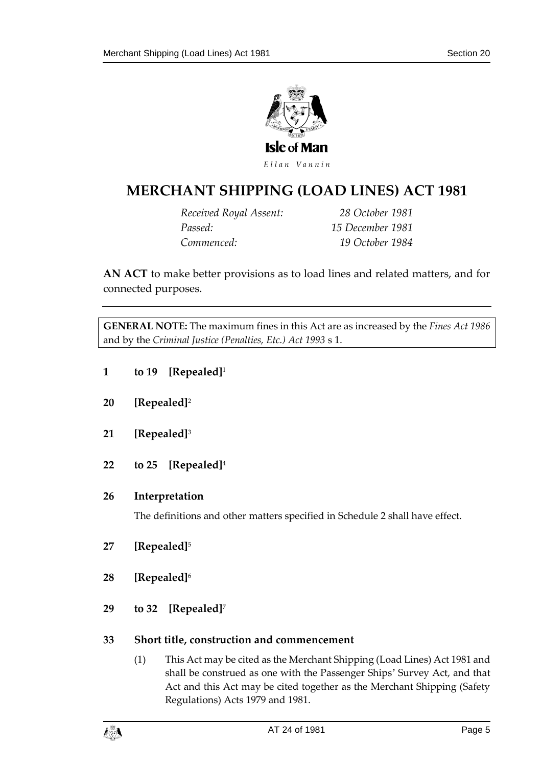

### **MERCHANT SHIPPING (L OAD LINES) ACT 1981**

*Received Royal Assent: 28 October 1981 Passed: 15 December 1981 Commenced: 19 October 1984*

**AN ACT** to make better provisions as to load lines and related matters, and for connected purposes.

**GENERAL NOTE:** The maximum fines in this Act are as increased by the *Fines Act 1986* and by the *Criminal Justice (Penalties, Etc.) Act 1993* s 1.

- <span id="page-4-0"></span>**1 to 19 [Repealed]**<sup>1</sup>
- <span id="page-4-1"></span>**20 [Repealed]**<sup>2</sup>
- <span id="page-4-2"></span>**21 [Repealed]**<sup>3</sup>
- <span id="page-4-3"></span>**22 to 25 [Repealed]**<sup>4</sup>

#### <span id="page-4-4"></span>**26 Interpretation**

The definitions and other matters specified in Schedule 2 shall have effect.

- <span id="page-4-5"></span>**27 [Repealed]**<sup>5</sup>
- <span id="page-4-6"></span>**28 [Repealed]**<sup>6</sup>
- <span id="page-4-7"></span>**29 to 32 [Repealed]**<sup>7</sup>

#### <span id="page-4-8"></span>**33 Short title, construction and commencement**

(1) This Act may be cited as the Merchant Shipping (Load Lines) Act 1981 and shall be construed as one with the Passenger Ships' Survey Act, and that Act and this Act may be cited together as the Merchant Shipping (Safety Regulations) Acts 1979 and 1981.

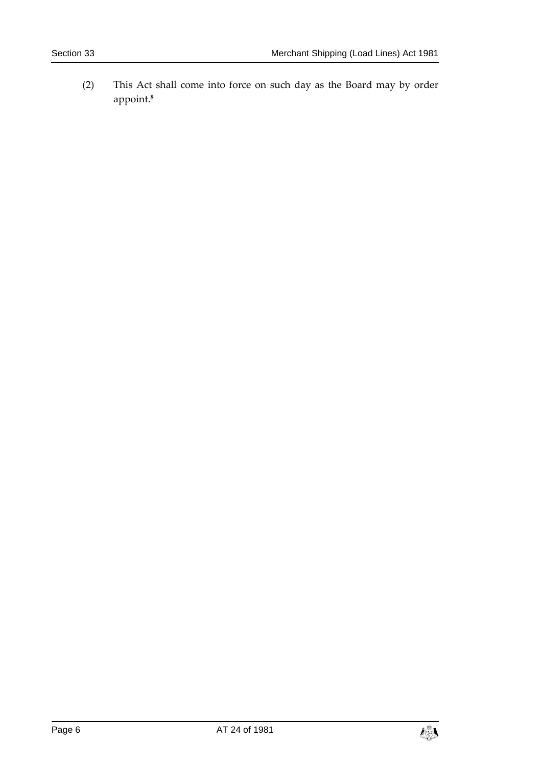(2) This Act shall come into force on such day as the Board may by order appoint.**8**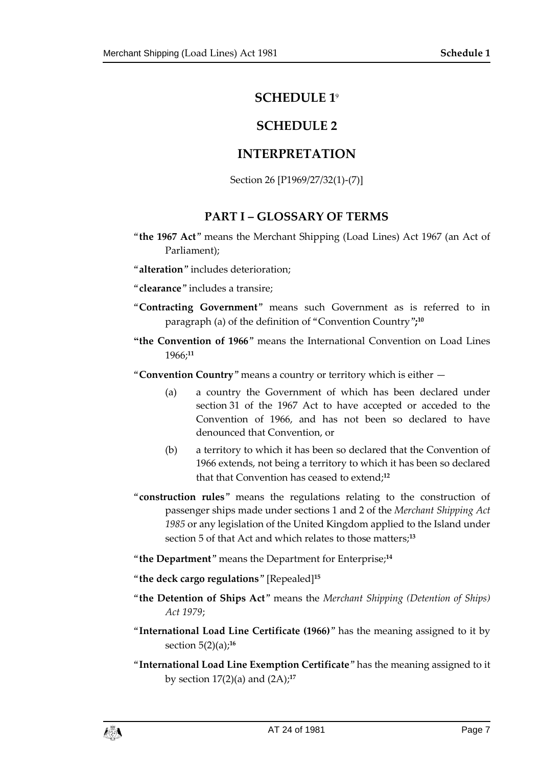#### **SCHEDULE 1**<sup>9</sup>

#### **SCHEDULE 2**

#### <span id="page-6-0"></span>**INTERPRETATION**

Section 26 [P1969/27/32(1)-(7)]

#### **PART I – GLOSSARY OF TERMS**

- <span id="page-6-2"></span><span id="page-6-1"></span>"**the 1967 Act**" means the Merchant Shipping (Load Lines) Act 1967 (an Act of Parliament);
- "**alteration**" includes deterioration;
- "**clearance**" includes a transire;
- "**Contracting Government**" means such Government as is referred to in paragraph (a) of the definition of "Convention Country"**; 10**
- **"the Convention of 1966**" means the International Convention on Load Lines 1966;**<sup>11</sup>**

"**Convention Country**" means a country or territory which is either —

- (a) a country the Government of which has been declared under section 31 of the 1967 Act to have accepted or acceded to the Convention of 1966, and has not been so declared to have denounced that Convention, or
- (b) a territory to which it has been so declared that the Convention of 1966 extends, not being a territory to which it has been so declared that that Convention has ceased to extend;**<sup>12</sup>**
- "**construction rules**" means the regulations relating to the construction of passenger ships made under sections 1 and 2 of the *Merchant Shipping Act 1985* or any legislation of the United Kingdom applied to the Island under section 5 of that Act and which relates to those matters;**<sup>13</sup>**

"**the Department**" means the Department for Enterprise; **14**

- "**the deck cargo regulations**" [Repealed]**<sup>15</sup>**
- "**the Detention of Ships Act**" means the *Merchant Shipping (Detention of Ships) Act 1979*;
- "**International Load Line Certificate (1966)**" has the meaning assigned to it by section 5(2)(a);**<sup>16</sup>**
- "**International Load Line Exemption Certificate**" has the meaning assigned to it by section 17(2)(a) and (2A);**<sup>17</sup>**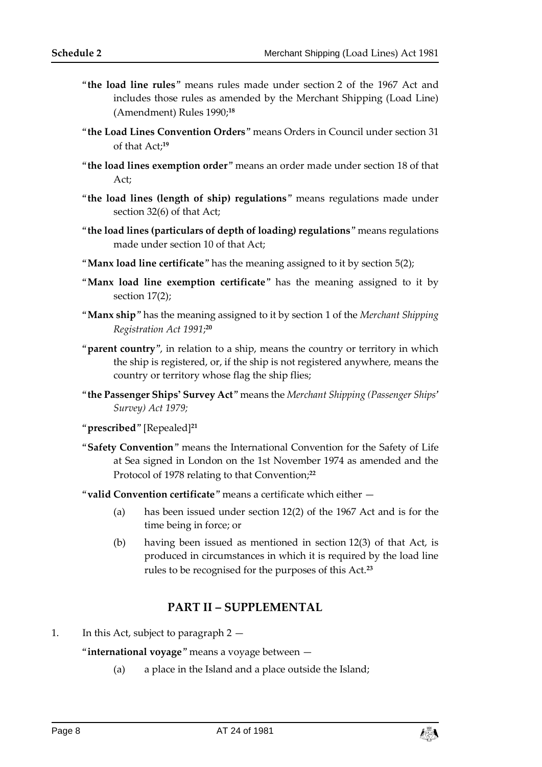- "**the load line rules**" means rules made under section 2 of the 1967 Act and includes those rules as amended by the Merchant Shipping (Load Line) (Amendment) Rules 1990; **18**
- "**the Load Lines Convention Orders**" means Orders in Council under section 31 of that Act;**<sup>19</sup>**
- "**the load lines exemption order**" means an order made under section 18 of that Act;
- "**the load lines (length of ship) regulations**" means regulations made under section 32(6) of that Act;
- "**the load lines (particulars of depth of loading) regulations**" means regulations made under section 10 of that Act;
- "**Manx load line certificate**" has the meaning assigned to it by section 5(2);
- "**Manx load line exemption certificate**" has the meaning assigned to it by section 17(2);
- "**Manx ship**" has the meaning assigned to it by section 1 of the *Merchant Shipping Registration Act 1991*; **20**
- "**parent country**", in relation to a ship, means the country or territory in which the ship is registered, or, if the ship is not registered anywhere, means the country or territory whose flag the ship flies;
- "**the Passenger Ships' Survey Act**" means the *Merchant Shipping (Passenger Ships' Survey) Act 1979;*
- "**prescribed**" [Repealed]**<sup>21</sup>**
- "**Safety Convention**" means the International Convention for the Safety of Life at Sea signed in London on the 1st November 1974 as amended and the Protocol of 1978 relating to that Convention;**<sup>22</sup>**
- "**valid Convention certificate**" means a certificate which either
	- (a) has been issued under section 12(2) of the 1967 Act and is for the time being in force; or
	- (b) having been issued as mentioned in section 12(3) of that Act, is produced in circumstances in which it is required by the load line rules to be recognised for the purposes of this Act.**<sup>23</sup>**

#### **PART II – SUPPLEMENTAL**

1. In this Act, subject to paragraph 2 —

"**international voyage**" means a voyage between —

(a) a place in the Island and a place outside the Island;

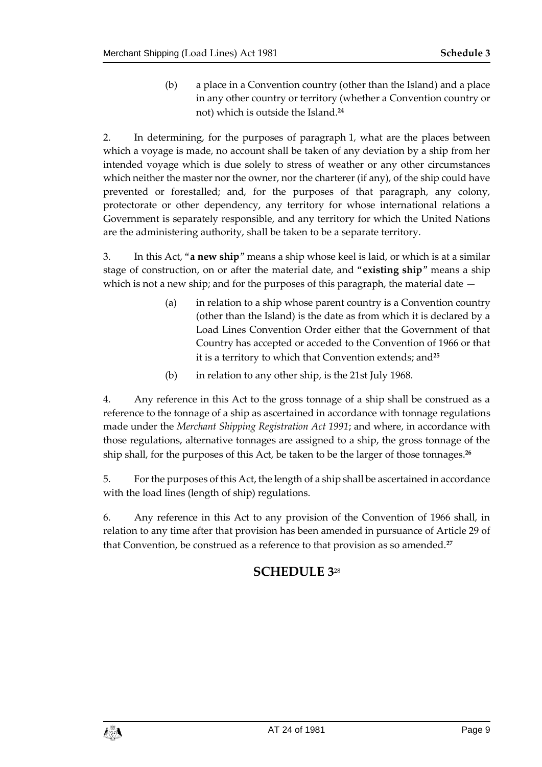(b) a place in a Convention country (other than the Island) and a place in any other country or territory (whether a Convention country or not) which is outside the Island.**<sup>24</sup>**

2. In determining, for the purposes of paragraph 1, what are the places between which a voyage is made, no account shall be taken of any deviation by a ship from her intended voyage which is due solely to stress of weather or any other circumstances which neither the master nor the owner, nor the charterer (if any), of the ship could have prevented or forestalled; and, for the purposes of that paragraph, any colony, protectorate or other dependency, any territory for whose international relations a Government is separately responsible, and any territory for which the United Nations are the administering authority, shall be taken to be a separate territory.

3. In this Act, "**a new ship**" means a ship whose keel is laid, or which is at a similar stage of construction, on or after the material date, and "**existing ship**" means a ship which is not a new ship; and for the purposes of this paragraph, the material date  $-$ 

- (a) in relation to a ship whose parent country is a Convention country (other than the Island) is the date as from which it is declared by a Load Lines Convention Order either that the Government of that Country has accepted or acceded to the Convention of 1966 or that it is a territory to which that Convention extends; and**<sup>25</sup>**
- (b) in relation to any other ship, is the 21st July 1968.

4. Any reference in this Act to the gross tonnage of a ship shall be construed as a reference to the tonnage of a ship as ascertained in accordance with tonnage regulations made under the *Merchant Shipping Registration Act 1991*; and where, in accordance with those regulations, alternative tonnages are assigned to a ship, the gross tonnage of the ship shall, for the purposes of this Act, be taken to be the larger of those tonnages.**<sup>26</sup>**

5. For the purposes of this Act, the length of a ship shall be ascertained in accordance with the load lines (length of ship) regulations.

<span id="page-8-0"></span>6. Any reference in this Act to any provision of the Convention of 1966 shall, in relation to any time after that provision has been amended in pursuance of Article 29 of that Convention, be construed as a reference to that provision as so amended.**<sup>27</sup>**

### **SCHEDULE 3**28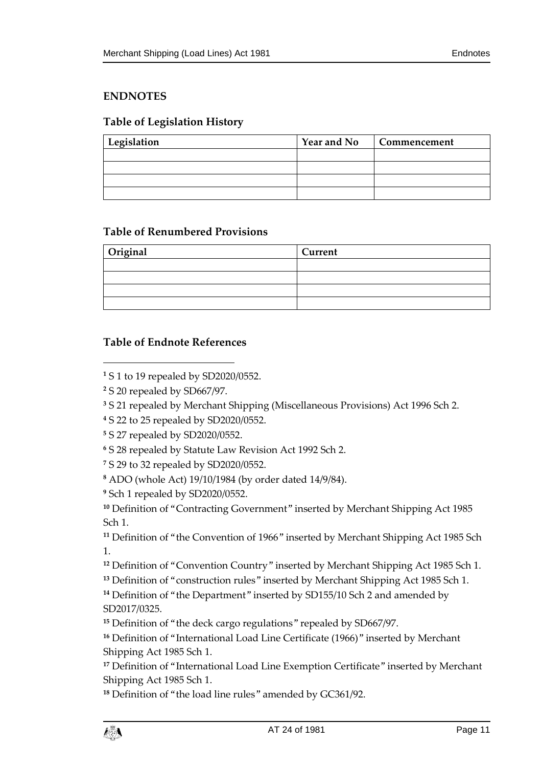#### <span id="page-10-0"></span>**ENDNOTES**

#### <span id="page-10-1"></span>**Table of Legislation History**

| Legislation | <b>Year and No</b> | Commencement |
|-------------|--------------------|--------------|
|             |                    |              |
|             |                    |              |
|             |                    |              |
|             |                    |              |

#### <span id="page-10-2"></span>**Table of Renumbered Provisions**

| Original | Current |
|----------|---------|
|          |         |
|          |         |
|          |         |
|          |         |

#### <span id="page-10-3"></span>**Table of Endnote References**

 $\overline{a}$ 

- **<sup>4</sup>** S 22 to 25 repealed by SD2020/0552.
- **<sup>5</sup>** S 27 repealed by SD2020/0552.
- **<sup>6</sup>** S 28 repealed by Statute Law Revision Act 1992 Sch 2.
- **<sup>7</sup>** S 29 to 32 repealed by SD2020/0552.
- **<sup>8</sup>** ADO (whole Act) 19/10/1984 (by order dated 14/9/84).
- **<sup>9</sup>** Sch 1 repealed by SD2020/0552.

<sup>10</sup> Definition of "Contracting Government" inserted by Merchant Shipping Act 1985 Sch 1.

**<sup>11</sup>** Definition of "the Convention of 1966" inserted by Merchant Shipping Act 1985 Sch 1.

**<sup>12</sup>** Definition of "Convention Country" inserted by Merchant Shipping Act 1985 Sch 1.

**<sup>13</sup>** Definition of "construction rules" inserted by Merchant Shipping Act 1985 Sch 1.

**<sup>14</sup>** Definition of "the Department" inserted by SD155/10 Sch 2 and amended by SD2017/0325.

**<sup>15</sup>** Definition of "the deck cargo regulations" repealed by SD667/97.

**<sup>16</sup>** Definition of "International Load Line Certificate (1966)" inserted by Merchant Shipping Act 1985 Sch 1.

<sup>17</sup> Definition of "International Load Line Exemption Certificate" inserted by Merchant Shipping Act 1985 Sch 1.

**<sup>18</sup>** Definition of "the load line rules" amended by GC361/92.

**<sup>1</sup>** S 1 to 19 repealed by SD2020/0552.

**<sup>2</sup>** S 20 repealed by SD667/97.

**<sup>3</sup>** S 21 repealed by Merchant Shipping (Miscellaneous Provisions) Act 1996 Sch 2.